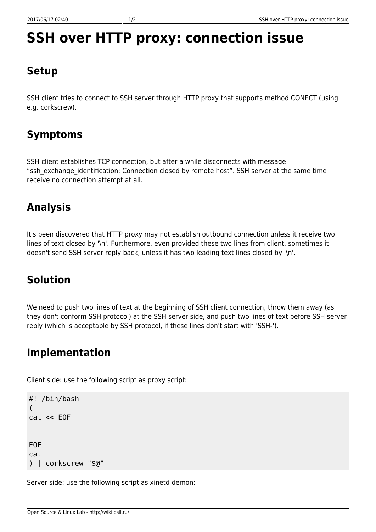# **SSH over HTTP proxy: connection issue**

### **Setup**

SSH client tries to connect to SSH server through HTTP proxy that supports method CONECT (using e.g. corkscrew).

## **Symptoms**

SSH client establishes TCP connection, but after a while disconnects with message "ssh\_exchange\_identification: Connection closed by remote host". SSH server at the same time receive no connection attempt at all.

### **Analysis**

It's been discovered that HTTP proxy may not establish outbound connection unless it receive two lines of text closed by '\n'. Furthermore, even provided these two lines from client, sometimes it doesn't send SSH server reply back, unless it has two leading text lines closed by '\n'.

### **Solution**

We need to push two lines of text at the beginning of SSH client connection, throw them away (as they don't conform SSH protocol) at the SSH server side, and push two lines of text before SSH server reply (which is acceptable by SSH protocol, if these lines don't start with 'SSH-').

#### **Implementation**

Client side: use the following script as proxy script:

```
#! /bin/bash
(
cat << EOF
EOF
cat
) | corkscrew "$@"
```
Server side: use the following script as xinetd demon: